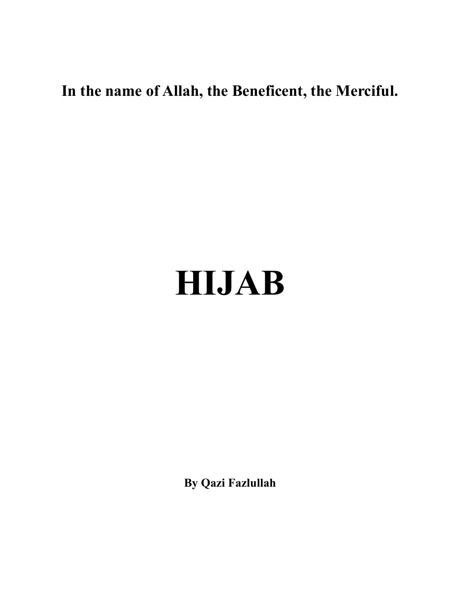## **In the name of Allah, the Beneficent, the Merciful.**

## **HIJAB**

**By Qazi Fazlullah**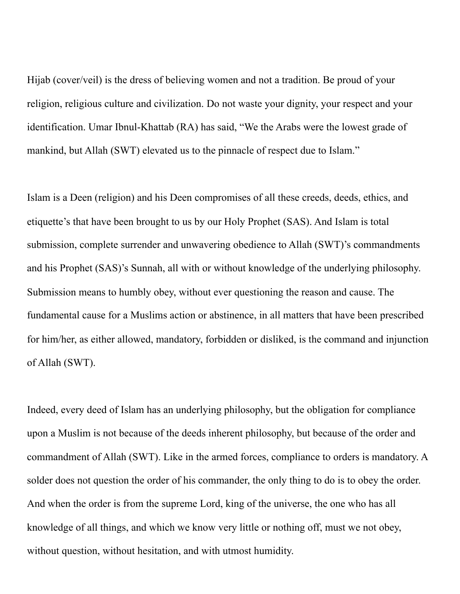Hijab (cover/veil) is the dress of believing women and not a tradition. Be proud of your religion, religious culture and civilization. Do not waste your dignity, your respect and your identification. Umar Ibnul-Khattab (RA) has said, "We the Arabs were the lowest grade of mankind, but Allah (SWT) elevated us to the pinnacle of respect due to Islam."

Islam is a Deen (religion) and his Deen compromises of all these creeds, deeds, ethics, and etiquette's that have been brought to us by our Holy Prophet (SAS). And Islam is total submission, complete surrender and unwavering obedience to Allah (SWT)'s commandments and his Prophet (SAS)'s Sunnah, all with or without knowledge of the underlying philosophy. Submission means to humbly obey, without ever questioning the reason and cause. The fundamental cause for a Muslims action or abstinence, in all matters that have been prescribed for him/her, as either allowed, mandatory, forbidden or disliked, is the command and injunction of Allah (SWT).

Indeed, every deed of Islam has an underlying philosophy, but the obligation for compliance upon a Muslim is not because of the deeds inherent philosophy, but because of the order and commandment of Allah (SWT). Like in the armed forces, compliance to orders is mandatory. A solder does not question the order of his commander, the only thing to do is to obey the order. And when the order is from the supreme Lord, king of the universe, the one who has all knowledge of all things, and which we know very little or nothing off, must we not obey, without question, without hesitation, and with utmost humidity.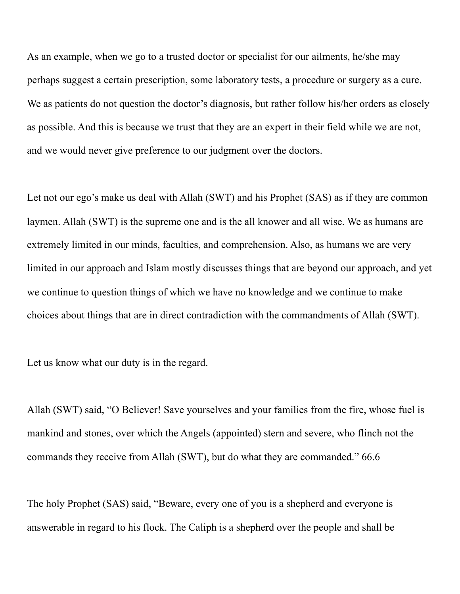As an example, when we go to a trusted doctor or specialist for our ailments, he/she may perhaps suggest a certain prescription, some laboratory tests, a procedure or surgery as a cure. We as patients do not question the doctor's diagnosis, but rather follow his/her orders as closely as possible. And this is because we trust that they are an expert in their field while we are not, and we would never give preference to our judgment over the doctors.

Let not our ego's make us deal with Allah (SWT) and his Prophet (SAS) as if they are common laymen. Allah (SWT) is the supreme one and is the all knower and all wise. We as humans are extremely limited in our minds, faculties, and comprehension. Also, as humans we are very limited in our approach and Islam mostly discusses things that are beyond our approach, and yet we continue to question things of which we have no knowledge and we continue to make choices about things that are in direct contradiction with the commandments of Allah (SWT).

Let us know what our duty is in the regard.

Allah (SWT) said, "O Believer! Save yourselves and your families from the fire, whose fuel is mankind and stones, over which the Angels (appointed) stern and severe, who flinch not the commands they receive from Allah (SWT), but do what they are commanded." 66.6

The holy Prophet (SAS) said, "Beware, every one of you is a shepherd and everyone is answerable in regard to his flock. The Caliph is a shepherd over the people and shall be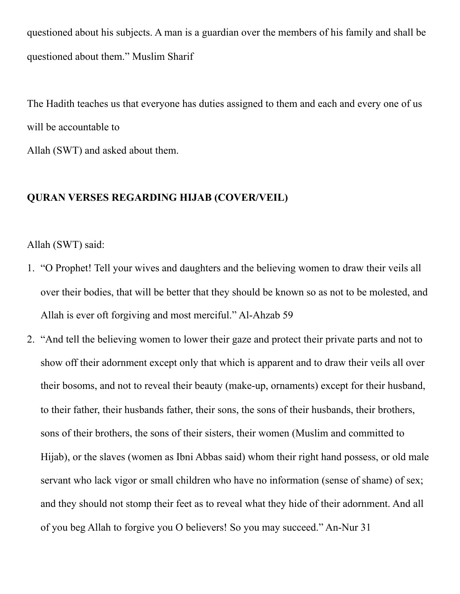questioned about his subjects. A man is a guardian over the members of his family and shall be questioned about them." Muslim Sharif

The Hadith teaches us that everyone has duties assigned to them and each and every one of us will be accountable to Allah (SWT) and asked about them.

## **QURAN VERSES REGARDING HIJAB (COVER/VEIL)**

Allah (SWT) said:

- 1. "O Prophet! Tell your wives and daughters and the believing women to draw their veils all over their bodies, that will be better that they should be known so as not to be molested, and Allah is ever oft forgiving and most merciful." Al-Ahzab 59
- 2. "And tell the believing women to lower their gaze and protect their private parts and not to show off their adornment except only that which is apparent and to draw their veils all over their bosoms, and not to reveal their beauty (make-up, ornaments) except for their husband, to their father, their husbands father, their sons, the sons of their husbands, their brothers, sons of their brothers, the sons of their sisters, their women (Muslim and committed to Hijab), or the slaves (women as Ibni Abbas said) whom their right hand possess, or old male servant who lack vigor or small children who have no information (sense of shame) of sex; and they should not stomp their feet as to reveal what they hide of their adornment. And all of you beg Allah to forgive you O believers! So you may succeed." An-Nur 31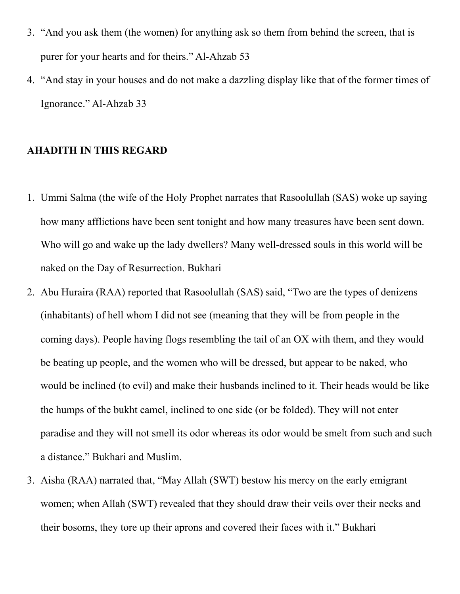- 3. "And you ask them (the women) for anything ask so them from behind the screen, that is purer for your hearts and for theirs." Al-Ahzab 53
- 4. "And stay in your houses and do not make a dazzling display like that of the former times of Ignorance." Al-Ahzab 33

## **AHADITH IN THIS REGARD**

- 1. Ummi Salma (the wife of the Holy Prophet narrates that Rasoolullah (SAS) woke up saying how many afflictions have been sent tonight and how many treasures have been sent down. Who will go and wake up the lady dwellers? Many well-dressed souls in this world will be naked on the Day of Resurrection. Bukhari
- 2. Abu Huraira (RAA) reported that Rasoolullah (SAS) said, "Two are the types of denizens (inhabitants) of hell whom I did not see (meaning that they will be from people in the coming days). People having flogs resembling the tail of an OX with them, and they would be beating up people, and the women who will be dressed, but appear to be naked, who would be inclined (to evil) and make their husbands inclined to it. Their heads would be like the humps of the bukht camel, inclined to one side (or be folded). They will not enter paradise and they will not smell its odor whereas its odor would be smelt from such and such a distance." Bukhari and Muslim.
- 3. Aisha (RAA) narrated that, "May Allah (SWT) bestow his mercy on the early emigrant women; when Allah (SWT) revealed that they should draw their veils over their necks and their bosoms, they tore up their aprons and covered their faces with it." Bukhari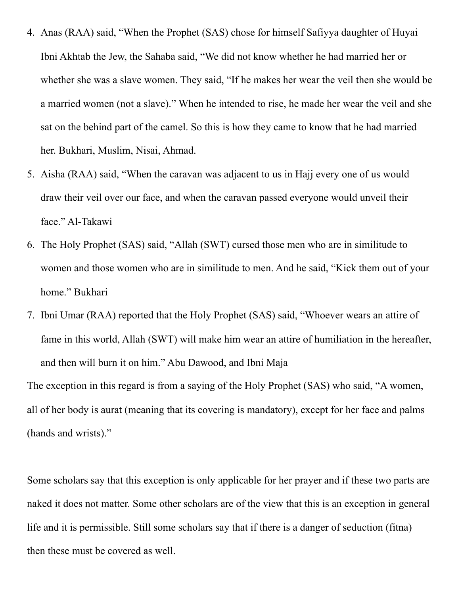- 4. Anas (RAA) said, "When the Prophet (SAS) chose for himself Safiyya daughter of Huyai Ibni Akhtab the Jew, the Sahaba said, "We did not know whether he had married her or whether she was a slave women. They said, "If he makes her wear the veil then she would be a married women (not a slave)." When he intended to rise, he made her wear the veil and she sat on the behind part of the camel. So this is how they came to know that he had married her. Bukhari, Muslim, Nisai, Ahmad.
- 5. Aisha (RAA) said, "When the caravan was adjacent to us in Hajj every one of us would draw their veil over our face, and when the caravan passed everyone would unveil their face." Al-Takawi
- 6. The Holy Prophet (SAS) said, "Allah (SWT) cursed those men who are in similitude to women and those women who are in similitude to men. And he said, "Kick them out of your home." Bukhari
- 7. Ibni Umar (RAA) reported that the Holy Prophet (SAS) said, "Whoever wears an attire of fame in this world, Allah (SWT) will make him wear an attire of humiliation in the hereafter, and then will burn it on him." Abu Dawood, and Ibni Maja

The exception in this regard is from a saying of the Holy Prophet (SAS) who said, "A women, all of her body is aurat (meaning that its covering is mandatory), except for her face and palms (hands and wrists)."

Some scholars say that this exception is only applicable for her prayer and if these two parts are naked it does not matter. Some other scholars are of the view that this is an exception in general life and it is permissible. Still some scholars say that if there is a danger of seduction (fitna) then these must be covered as well.